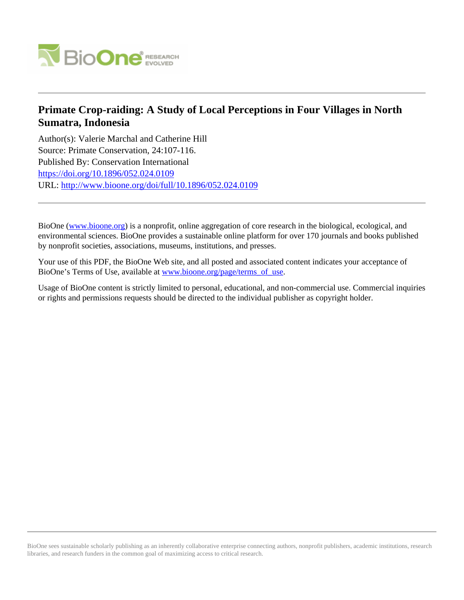

# **Primate Crop-raiding: A Study of Local Perceptions in Four Villages in North Sumatra, Indonesia**

Author(s): Valerie Marchal and Catherine Hill Source: Primate Conservation, 24:107-116. Published By: Conservation International <https://doi.org/10.1896/052.024.0109> URL: <http://www.bioone.org/doi/full/10.1896/052.024.0109>

BioOne [\(www.bioone.org\)](http://www.bioone.org) is a nonprofit, online aggregation of core research in the biological, ecological, and environmental sciences. BioOne provides a sustainable online platform for over 170 journals and books published by nonprofit societies, associations, museums, institutions, and presses.

Your use of this PDF, the BioOne Web site, and all posted and associated content indicates your acceptance of BioOne's Terms of Use, available at [www.bioone.org/page/terms\\_of\\_use.](http://www.bioone.org/page/terms_of_use)

Usage of BioOne content is strictly limited to personal, educational, and non-commercial use. Commercial inquiries or rights and permissions requests should be directed to the individual publisher as copyright holder.

BioOne sees sustainable scholarly publishing as an inherently collaborative enterprise connecting authors, nonprofit publishers, academic institutions, research libraries, and research funders in the common goal of maximizing access to critical research.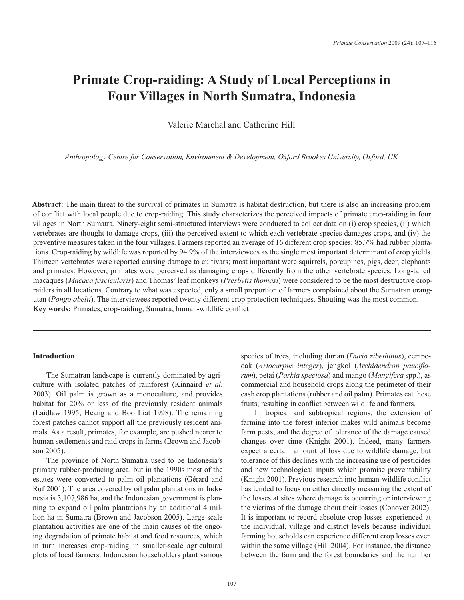# **Primate Crop-raiding: A Study of Local Perceptions in Four Villages in North Sumatra, Indonesia**

Valerie Marchal and Catherine Hill

Anthropology Centre for Conservation, Environment & Development, Oxford Brookes University, Oxford, UK

Abstract: The main threat to the survival of primates in Sumatra is habitat destruction, but there is also an increasing problem of conflict with local people due to crop-raiding. This study characterizes the perceived impacts of primate crop-raiding in four villages in North Sumatra. Ninety-eight semi-structured interviews were conducted to collect data on (i) crop species, (ii) which vertebrates are thought to damage crops, (iii) the perceived extent to which each vertebrate species damages crops, and (iv) the preventive measures taken in the four villages. Farmers reported an average of 16 different crop species; 85.7% had rubber plantations. Crop-raiding by wildlife was reported by 94.9% of the interviewees as the single most important determinant of crop yields. Thirteen vertebrates were reported causing damage to cultivars; most important were squirrels, porcupines, pigs, deer, elephants and primates. However, primates were perceived as damaging crops differently from the other vertebrate species. Long-tailed macaques (Macaca fascicularis) and Thomas' leaf monkeys (Presbytis thomasi) were considered to be the most destructive cropraiders in all locations. Contrary to what was expected, only a small proportion of farmers complained about the Sumatran orangutan (Pongo abelii). The interviewees reported twenty different crop protection techniques. Shouting was the most common. Key words: Primates, crop-raiding, Sumatra, human-wildlife conflict

#### **Introduction**

The Sumatran landscape is currently dominated by agriculture with isolated patches of rainforest (Kinnaird et al. 2003). Oil palm is grown as a monoculture, and provides habitat for 20% or less of the previously resident animals (Laidlaw 1995; Heang and Boo Liat 1998). The remaining forest patches cannot support all the previously resident animals. As a result, primates, for example, are pushed nearer to human settlements and raid crops in farms (Brown and Jacobson 2005).

The province of North Sumatra used to be Indonesia's primary rubber-producing area, but in the 1990s most of the estates were converted to palm oil plantations (Gérard and Ruf 2001). The area covered by oil palm plantations in Indonesia is 3,107,986 ha, and the Indonesian government is planning to expand oil palm plantations by an additional 4 million ha in Sumatra (Brown and Jacobson 2005). Large-scale plantation activities are one of the main causes of the ongoing degradation of primate habitat and food resources, which in turn increases crop-raiding in smaller-scale agricultural plots of local farmers. Indonesian householders plant various

species of trees, including durian (Durio zibethinus), cempedak (Artocarpus integer), jengkol (Archidendron pauciflorum), petai (Parkia speciosa) and mango (Mangifera spp.), as commercial and household crops along the perimeter of their cash crop plantations (rubber and oil palm). Primates eat these fruits, resulting in conflict between wildlife and farmers.

In tropical and subtropical regions, the extension of farming into the forest interior makes wild animals become farm pests, and the degree of tolerance of the damage caused changes over time (Knight 2001). Indeed, many farmers expect a certain amount of loss due to wildlife damage, but tolerance of this declines with the increasing use of pesticides and new technological inputs which promise preventability (Knight 2001). Previous research into human-wildlife conflict has tended to focus on either directly measuring the extent of the losses at sites where damage is occurring or interviewing the victims of the damage about their losses (Conover 2002). It is important to record absolute crop losses experienced at the individual, village and district levels because individual farming households can experience different crop losses even within the same village (Hill 2004). For instance, the distance between the farm and the forest boundaries and the number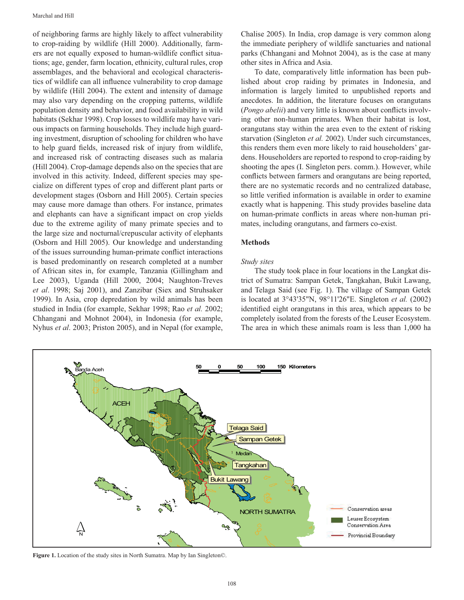of neighboring farms are highly likely to affect vulnerability to crop-raiding by wildlife (Hill 2000). Additionally, farmers are not equally exposed to human-wildlife conflict situations; age, gender, farm location, ethnicity, cultural rules, crop assemblages, and the behavioral and ecological characteristics of wildlife can all influence vulnerability to crop damage by wildlife (Hill 2004). The extent and intensity of damage may also vary depending on the cropping patterns, wildlife population density and behavior, and food availability in wild habitats (Sekhar 1998). Crop losses to wildlife may have various impacts on farming households. They include high guarding investment, disruption of schooling for children who have to help guard fields, increased risk of injury from wildlife, and increased risk of contracting diseases such as malaria (Hill 2004). Crop-damage depends also on the species that are involved in this activity. Indeed, different species may specialize on different types of crop and different plant parts or development stages (Osborn and Hill 2005). Certain species may cause more damage than others. For instance, primates and elephants can have a significant impact on crop yields due to the extreme agility of many primate species and to the large size and nocturnal/crepuscular activity of elephants (Osborn and Hill 2005). Our knowledge and understanding of the issues surrounding human-primate conflict interactions is based predominantly on research completed at a number of African sites in, for example, Tanzania (Gillingham and Lee 2003), Uganda (Hill 2000, 2004; Naughton-Treves et al. 1998; Saj 2001), and Zanzibar (Siex and Struhsaker 1999). In Asia, crop depredation by wild animals has been studied in India (for example, Sekhar 1998; Rao et al. 2002; Chhangani and Mohnot 2004), in Indonesia (for example, Nyhus et al. 2003; Priston 2005), and in Nepal (for example,

Chalise 2005). In India, crop damage is very common along the immediate periphery of wildlife sanctuaries and national parks (Chhangani and Mohnot 2004), as is the case at many other sites in Africa and Asia.

To date, comparatively little information has been published about crop raiding by primates in Indonesia, and information is largely limited to unpublished reports and anecdotes. In addition, the literature focuses on orangutans (*Pongo abelii*) and very little is known about conflicts involving other non-human primates. When their habitat is lost, orangutans stay within the area even to the extent of risking starvation (Singleton et al. 2002). Under such circumstances, this renders them even more likely to raid householders' gardens. Householders are reported to respond to crop-raiding by shooting the apes (I. Singleton pers. comm.). However, while conflicts between farmers and orangutans are being reported, there are no systematic records and no centralized database, so little verified information is available in order to examine exactly what is happening. This study provides baseline data on human-primate conflicts in areas where non-human primates, including orangutans, and farmers co-exist.

#### **Methods**

#### Study sites

The study took place in four locations in the Langkat district of Sumatra: Sampan Getek, Tangkahan, Bukit Lawang, and Telaga Said (see Fig. 1). The village of Sampan Getek is located at  $3^{\circ}43'35''N$ ,  $98^{\circ}11'26''E$ . Singleton *et al.* (2002) identified eight orangutans in this area, which appears to be completely isolated from the forests of the Leuser Ecosystem. The area in which these animals roam is less than 1,000 ha



Figure 1. Location of the study sites in North Sumatra. Map by Ian Singleton©.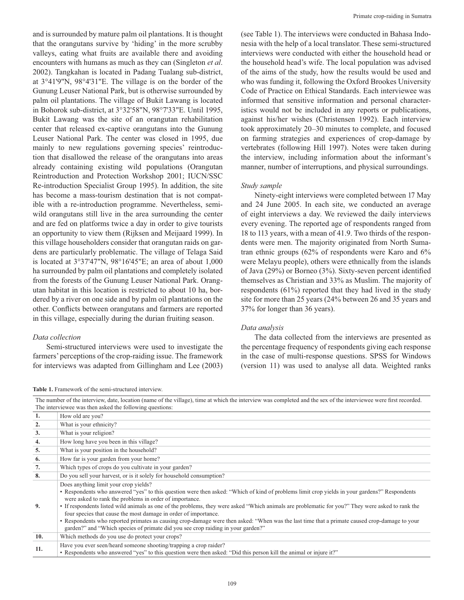and is surrounded by mature palm oil plantations. It is thought that the orangutans survive by 'hiding' in the more scrubby valleys, eating what fruits are available there and avoiding encounters with humans as much as they can (Singleton et al. 2002). Tangkahan is located in Padang Tualang sub-district, at 3°41'9"N, 98°4'31"E. The village is on the border of the Gunung Leuser National Park, but is otherwise surrounded by palm oil plantations. The village of Bukit Lawang is located in Bohorok sub-district, at 3°32'58"N, 98°7'33"E. Until 1995, Bukit Lawang was the site of an orangutan rehabilitation center that released ex-captive orangutans into the Gunung Leuser National Park. The center was closed in 1995, due mainly to new regulations governing species' reintroduction that disallowed the release of the orangutans into areas already containing existing wild populations (Orangutan Reintroduction and Protection Workshop 2001; IUCN/SSC Re-introduction Specialist Group 1995). In addition, the site has become a mass-tourism destination that is not compatible with a re-introduction programme. Nevertheless, semiwild orangutans still live in the area surrounding the center and are fed on platforms twice a day in order to give tourists an opportunity to view them (Rijksen and Meijaard 1999). In this village householders consider that orangutan raids on gardens are particularly problematic. The village of Telaga Said is located at  $3°37'47''N$ ,  $98°16'45''E$ ; an area of about 1,000 ha surrounded by palm oil plantations and completely isolated from the forests of the Gunung Leuser National Park. Orangutan habitat in this location is restricted to about 10 ha, bordered by a river on one side and by palm oil plantations on the other. Conflicts between orangutans and farmers are reported in this village, especially during the durian fruiting season.

#### Data collection

Semi-structured interviews were used to investigate the farmers' perceptions of the crop-raiding issue. The framework for interviews was adapted from Gillingham and Lee (2003)

Table 1. Framework of the semi-structured interview.

(see Table 1). The interviews were conducted in Bahasa Indonesia with the help of a local translator. These semi-structured interviews were conducted with either the household head or the household head's wife. The local population was advised of the aims of the study, how the results would be used and who was funding it, following the Oxford Brookes University Code of Practice on Ethical Standards. Each interviewee was informed that sensitive information and personal characteristics would not be included in any reports or publications, against his/her wishes (Christensen 1992). Each interview took approximately 20-30 minutes to complete, and focused on farming strategies and experiences of crop-damage by vertebrates (following Hill 1997). Notes were taken during the interview, including information about the informant's manner, number of interruptions, and physical surroundings.

#### Study sample

Ninety-eight interviews were completed between 17 May and 24 June 2005. In each site, we conducted an average of eight interviews a day. We reviewed the daily interviews every evening. The reported age of respondents ranged from 18 to 113 years, with a mean of 41.9. Two thirds of the respondents were men. The majority originated from North Sumatran ethnic groups (62% of respondents were Karo and 6% were Melayu people), others were ethnically from the islands of Java (29%) or Borneo (3%). Sixty-seven percent identified themselves as Christian and 33% as Muslim. The majority of respondents  $(61\%)$  reported that they had lived in the study site for more than 25 years (24% between 26 and 35 years and 37% for longer than 36 years).

#### Data analysis

The data collected from the interviews are presented as the percentage frequency of respondents giving each response in the case of multi-response questions. SPSS for Windows (version 11) was used to analyse all data. Weighted ranks

|     | The number of the interview, date, location (name of the village), time at which the interview was completed and the sex of the interviewee were first recorded.<br>The interviewee was then asked the following questions:                                                                                                                                                                                                                                                                                                                                                                                                                                                                                    |
|-----|----------------------------------------------------------------------------------------------------------------------------------------------------------------------------------------------------------------------------------------------------------------------------------------------------------------------------------------------------------------------------------------------------------------------------------------------------------------------------------------------------------------------------------------------------------------------------------------------------------------------------------------------------------------------------------------------------------------|
| 1.  | How old are you?                                                                                                                                                                                                                                                                                                                                                                                                                                                                                                                                                                                                                                                                                               |
| 2.  | What is your ethnicity?                                                                                                                                                                                                                                                                                                                                                                                                                                                                                                                                                                                                                                                                                        |
| 3.  | What is your religion?                                                                                                                                                                                                                                                                                                                                                                                                                                                                                                                                                                                                                                                                                         |
| 4.  | How long have you been in this village?                                                                                                                                                                                                                                                                                                                                                                                                                                                                                                                                                                                                                                                                        |
| 5.  | What is your position in the household?                                                                                                                                                                                                                                                                                                                                                                                                                                                                                                                                                                                                                                                                        |
| 6.  | How far is your garden from your home?                                                                                                                                                                                                                                                                                                                                                                                                                                                                                                                                                                                                                                                                         |
| 7.  | Which types of crops do you cultivate in your garden?                                                                                                                                                                                                                                                                                                                                                                                                                                                                                                                                                                                                                                                          |
| 8.  | Do you sell your harvest, or is it solely for household consumption?                                                                                                                                                                                                                                                                                                                                                                                                                                                                                                                                                                                                                                           |
| 9.  | Does anything limit your crop yields?<br>• Respondents who answered "yes" to this question were then asked: "Which of kind of problems limit crop yields in your gardens?" Respondents<br>were asked to rank the problems in order of importance.<br>• If respondents listed wild animals as one of the problems, they were asked "Which animals are problematic for you?" They were asked to rank the<br>four species that cause the most damage in order of importance.<br>• Respondents who reported primates as causing crop-damage were then asked: "When was the last time that a primate caused crop-damage to your<br>garden?" and "Which species of primate did you see crop raiding in your garden?" |
| 10. | Which methods do you use do protect your crops?                                                                                                                                                                                                                                                                                                                                                                                                                                                                                                                                                                                                                                                                |
| 11. | Have you ever seen/heard someone shooting/trapping a crop raider?<br>• Respondents who answered "yes" to this question were then asked: "Did this person kill the animal or injure it?"                                                                                                                                                                                                                                                                                                                                                                                                                                                                                                                        |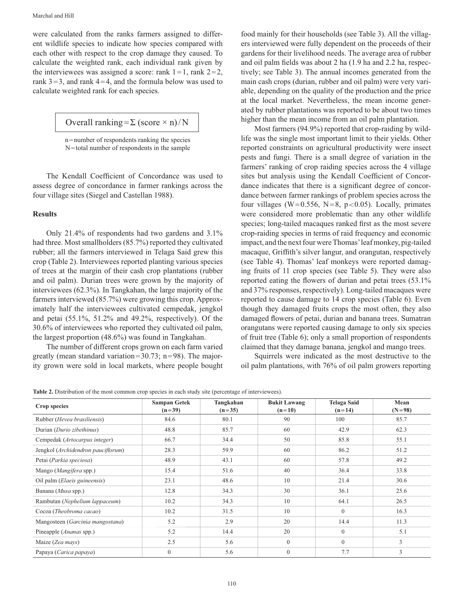were calculated from the ranks farmers assigned to different wildlife species to indicate how species compared with each other with respect to the crop damage they caused. To calculate the weighted rank, each individual rank given by the interviewees was assigned a score: rank  $1 = 1$ , rank  $2 = 2$ , rank  $3 = 3$ , and rank  $4 = 4$ , and the formula below was used to calculate weighted rank for each species.

Overall ranking = 
$$
\Sigma
$$
 (score × n)/N

n=number of respondents ranking the species N=total number of respondents in the sample

The Kendall Coefficient of Concordance was used to assess degree of concordance in farmer rankings across the four village sites (Siegel and Castellan 1988).

#### **Results**

Only 21.4% of respondents had two gardens and 3.1% had three. Most smallholders (85.7%) reported they cultivated rubber; all the farmers interviewed in Telaga Said grew this crop (Table 2). Interviewees reported planting various species of trees at the margin of their cash crop plantations (rubber and oil palm). Durian trees were grown by the majority of interviewees (62.3%). In Tangkahan, the large majority of the farmers interviewed (85.7%) were growing this crop. Approximately half the interviewees cultivated cempedak, jengkol and petai  $(55.1\%, 51.2\%$  and  $49.2\%,$  respectively). Of the 30.6% of interviewees who reported they cultivated oil palm, the largest proportion  $(48.6\%)$  was found in Tangkahan.

The number of different crops grown on each farm varied greatly (mean standard variation= $30.73$ ; n=98). The majority grown were sold in local markets, where people bought food mainly for their households (see Table 3). All the villagers interviewed were fully dependent on the proceeds of their gardens for their livelihood needs. The average area of rubber and oil palm fields was about 2 ha (1.9 ha and 2.2 ha, respectively; see Table 3). The annual incomes generated from the main cash crops (durian, rubber and oil palm) were very variable, depending on the quality of the production and the price at the local market. Nevertheless, the mean income generated by rubber plantations was reported to be about two times higher than the mean income from an oil palm plantation.

Most farmers (94.9%) reported that crop-raiding by wildlife was the single most important limit to their yields. Other reported constraints on agricultural productivity were insect pests and fungi. There is a small degree of variation in the farmers' ranking of crop raiding species across the 4 village sites but analysis using the Kendall Coefficient of Concordance indicates that there is a significant degree of concordance between farmer rankings of problem species across the four villages (W=0.556, N=8, p<0.05). Locally, primates were considered more problematic than any other wildlife species; long-tailed macaques ranked first as the most severe crop-raiding species in terms of raid frequency and economic impact, and the next four were Thomas' leaf monkey, pig-tailed macaque, Griffith's silver langur, and orangutan, respectively (see Table 4). Thomas' leaf monkeys were reported damaging fruits of 11 crop species (see Table 5). They were also reported eating the flowers of durian and petai trees (53.1% and 37% responses, respectively). Long-tailed macaques were reported to cause damage to 14 crop species (Table 6). Even though they damaged fruits crops the most often, they also damaged flowers of petai, durian and banana trees. Sumatran orangutans were reported causing damage to only six species of fruit tree (Table 6); only a small proportion of respondents claimed that they damage banana, jengkol and mango trees.

Squirrels were indicated as the most destructive to the oil palm plantations, with 76% of oil palm growers reporting

Table 2. Distribution of the most common crop species in each study site (percentage of interviewees).

| Crop species                          | <b>Sampan Getek</b><br>$(n=39)$ | Tangkahan<br>$(n=35)$ | <b>Bukit Lawang</b><br>$(n=10)$ | <b>Telaga Said</b><br>$(n=14)$ | Mean<br>$(N=98)$ |
|---------------------------------------|---------------------------------|-----------------------|---------------------------------|--------------------------------|------------------|
| Rubber (Hevea brasiliensis)           | 84.6                            | 80.1                  | 90                              | 100                            | 85.7             |
| Durian (Durio zibethinus)             | 48.8                            | 85.7                  | 60                              | 42.9                           | 62.3             |
| Cempedak (Artocarpus integer)         | 66.7                            | 34.4                  | 50                              | 85.8                           | 55.1             |
| Jengkol (Archidendron pauciflorum)    | 28.3                            | 59.9                  | 60                              | 86.2                           | 51.2             |
| Petai (Parkia speciosa)               | 48.9                            | 43.1                  | 60                              | 57.8                           | 49.2             |
| Mango (Mangifera spp.)                | 15.4                            | 51.6                  | 40                              | 36.4                           | 33.8             |
| Oil palm ( <i>Elaeis guineensis</i> ) | 23.1                            | 48.6                  | 10                              | 21.4                           | 30.6             |
| Banana (Musa spp.)                    | 12.8                            | 34.3                  | 30                              | 36.1                           | 25.6             |
| Rambutan (Nephelium lappaceum)        | 10.2                            | 34.3                  | 10                              | 64.1                           | 26.5             |
| Cocoa (Theobroma cacao)               | 10.2                            | 31.5                  | 10                              | $\overline{0}$                 | 16.3             |
| Mangosteen (Garcinia mangostana)      | 5.2                             | 2.9                   | 20                              | 14.4                           | 11.3             |
| Pineapple (Ananas spp.)               | 5.2                             | 14.4                  | 20                              | $\mathbf{0}$                   | 5.1              |
| Maize (Zea mays)                      | 2.5                             | 5.6                   | $\theta$                        | $\overline{0}$                 | 3                |
| Papaya (Carica papaya)                | $\mathbf{0}$                    | 5.6                   | $\mathbf{0}$                    | 7.7                            | 3                |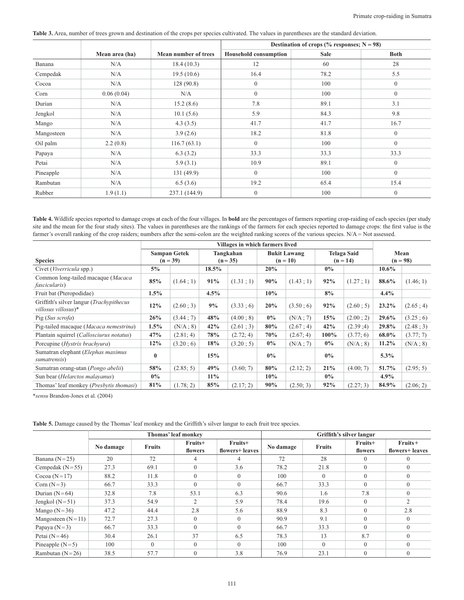Table 3. Area, number of trees grown and destination of the crops per species cultivated. The values in parentheses are the standard deviation.

|            |                |                      | Destination of crops (% responses; $N = 98$ ) |             |                  |  |  |
|------------|----------------|----------------------|-----------------------------------------------|-------------|------------------|--|--|
|            | Mean area (ha) | Mean number of trees | <b>Household consumption</b>                  | <b>Sale</b> | <b>Both</b>      |  |  |
| Banana     | N/A            | 18.4(10.3)           | 12                                            | 60          | 28               |  |  |
| Cempedak   | N/A            | 19.5(10.6)           | 16.4                                          | 78.2        | 5.5              |  |  |
| Cocoa      | N/A            | 128(90.8)            | $\theta$                                      | 100         | $\mathbf{0}$     |  |  |
| Corn       | 0.06(0.04)     | N/A                  | $\overline{0}$                                | 100         | $\boldsymbol{0}$ |  |  |
| Durian     | N/A            | 15.2(8.6)            | 7.8                                           | 89.1        | 3.1              |  |  |
| Jengkol    | N/A            | 10.1(5.6)            | 5.9                                           | 84.3        | 9.8              |  |  |
| Mango      | N/A            | 4.3(3.5)             | 41.7                                          | 41.7        | 16.7             |  |  |
| Mangosteen | N/A            | 3.9(2.6)             | 18.2                                          | 81.8        | $\mathbf{0}$     |  |  |
| Oil palm   | 2.2(0.8)       | 116.7(63.1)          | $\theta$                                      | 100         | $\mathbf{0}$     |  |  |
| Papaya     | N/A            | 6.3(3.2)             | 33.3                                          | 33.3        | 33.3             |  |  |
| Petai      | N/A            | 5.9(3.1)             | 10.9                                          | 89.1        | $\mathbf{0}$     |  |  |
| Pineapple  | N/A            | 131 (49.9)           | $\theta$                                      | 100         | $\mathbf{0}$     |  |  |
| Rambutan   | N/A            | 6.5(3.6)             | 19.2                                          | 65.4        | 15.4             |  |  |
| Rubber     | 1.9(1.1)       | 237.1 (144.9)        | $\theta$                                      | 100         | $\mathbf{0}$     |  |  |

Table 4. Wildlife species reported to damage crops at each of the four villages. In bold are the percentages of farmers reporting crop-raiding of each species (per study site and the mean for the four study sites). The values in parentheses are the rankings of the farmers for each species reported to damage crops: the first value is the farmer's overall ranking of the crop raiders; numbers after the semi-colon are the weighted ranking scores of the various species. N/A = Not assessed.

|                                                                       | Villages in which farmers lived   |           |                       |           |                                   |           |                           |           |                    |           |
|-----------------------------------------------------------------------|-----------------------------------|-----------|-----------------------|-----------|-----------------------------------|-----------|---------------------------|-----------|--------------------|-----------|
| <b>Species</b>                                                        | <b>Sampan Getek</b><br>$(n = 39)$ |           | Tangkahan<br>$(n=35)$ |           | <b>Bukit Lawang</b><br>$(n = 10)$ |           | Telaga Said<br>$(n = 14)$ |           | Mean<br>$(n = 98)$ |           |
| Civet (Viverricula spp.)                                              | $5\%$                             |           | $18.5\%$              |           | 20%                               |           | $0\%$                     |           | $10.6\%$           |           |
| Common long-tailed macaque (Macaca<br><i>fascicularis</i> )           | 85%                               | (1.64:1)  | 91%                   | (1.31; 1) | 90%                               | (1.43:1)  | 92%                       | (1.27:1)  | 88.6%              | (1.46; 1) |
| Fruit bat (Pteropodidae)                                              | $1.5\%$                           |           | 4.5%                  |           | 10%                               |           | 8%                        |           | 4.4%               |           |
| Griffith's silver langur (Trachypithecus<br>$villosus$ villosus $)$ * | 12%                               | (2.60:3)  | 9%                    | (3.33; 6) | 20%                               | (3.50:6)  | 92%                       | (2.60:5)  | $23.2\%$           | (2.65; 4) |
| Pig (Sus scrofa)                                                      | 26%                               | (3.44; 7) | 48%                   | (4.00:8)  | $0\%$                             | (N/A:7)   | 15%                       | (2.00; 2) | 29.6%              | (3.25; 6) |
| Pig-tailed macaque (Macaca nemestrina)                                | $1.5\%$                           | (N/A; 8)  | 42%                   | (2.61; 3) | 80%                               | (2.67; 4) | 42%                       | (2.39:4)  | 29.8%              | (2.48; 3) |
| Plantain squirrel (Callosciurus notatus)                              | 47%                               | (2.81; 4) | 78%                   | (2.72; 4) | 70%                               | (2.67; 4) | $100\%$                   | (3.77; 6) | 68.0%              | (3.77; 7) |
| Porcupine ( <i>Hystrix brachyura</i> )                                | 12%                               | (3.20; 6) | 18%                   | (3.20; 5) | $0\%$                             | (N/A; 7)  | $0\%$                     | (N/A ; 8) | $11.2\%$           | (N/A; 8)  |
| Sumatran elephant (Elephas maximus<br>sumatrensis)                    | $\bf{0}$                          |           | 15%                   |           | $0\%$                             |           | $0\%$                     |           | 5.3%               |           |
| Sumatran orang-utan (Pongo abelii)                                    | 58%                               | (2.85; 5) | 49%                   | (3.60; 7) | 80%                               | (2.12; 2) | 21%                       | (4.00; 7) | 51.7%              | (2.95; 5) |
| Sun bear ( <i>Helarctos malayanus</i> )                               | $0\%$                             |           | $11\%$                |           | 10%                               |           | $0\%$                     |           | $4.9\%$            |           |
| Thomas' leaf monkey ( <i>Presbytis thomasi</i> )                      | 81%                               | (1.78; 2) | 85%                   | (2.17; 2) | 90%                               | (2.50; 3) | 92%                       | (2.27; 3) | 84.9%              | (2.06; 2) |

\*sensu Brandon-Jones et al. (2004)

|                     |           |               | Thomas' leaf monkey |                            | Griffith's silver langur |               |                    |                               |  |
|---------------------|-----------|---------------|---------------------|----------------------------|--------------------------|---------------|--------------------|-------------------------------|--|
|                     | No damage | <b>Fruits</b> | Fruits+<br>flowers  | Fruits+<br>flowers+ leaves | No damage                | <b>Fruits</b> | Fruits+<br>flowers | $Fruits +$<br>flowers+ leaves |  |
| Banana $(N=25)$     | 20        | 72            | 4                   | 4                          | 72                       | 28            | $\Omega$           | $\Omega$                      |  |
| Cempedak $(N=55)$   | 27.3      | 69.1          | $\mathbf{0}$        | 3.6                        | 78.2                     | 21.8          | $\theta$           | $\Omega$                      |  |
| Cocoa ( $N=17$ )    | 88.2      | 11.8          | $\mathbf{0}$        | $\theta$                   | 100                      | $\theta$      | $\theta$           | $\theta$                      |  |
| Corn $(N=3)$        | 66.7      | 33.3          | $\theta$            | $\theta$                   | 66.7                     | 33.3          | $\Omega$           | $\theta$                      |  |
| Durian $(N=64)$     | 32.8      | 7.8           | 53.1                | 6.3                        | 90.6                     | 1.6           | 7.8                | $\mathbf{0}$                  |  |
| Jengkol $(N=51)$    | 37.3      | 54.9          | 2                   | 5.9                        | 78.4                     | 19.6          | $\Omega$           | $\overline{2}$                |  |
| Mango $(N=36)$      | 47.2      | 44.4          | 2.8                 | 5.6                        | 88.9                     | 8.3           | $\mathbf{0}$       | 2.8                           |  |
| Mangosteen $(N=11)$ | 72.7      | 27.3          | $\mathbf{0}$        | $\theta$                   | 90.9                     | 9.1           | $\theta$           | $\theta$                      |  |
| Papaya $(N=3)$      | 66.7      | 33.3          | $\mathbf{0}$        | $\theta$                   | 66.7                     | 33.3          | $\theta$           | $\theta$                      |  |
| Petai $(N=46)$      | 30.4      | 26.1          | 37                  | 6.5                        | 78.3                     | 13            | 8.7                | $\Omega$                      |  |
| Pineapple $(N=5)$   | 100       | $\theta$      | $\Omega$            | $\theta$                   | 100                      | $\Omega$      | $\theta$           | $\theta$                      |  |
| Rambutan $(N=26)$   | 38.5      | 57.7          | $\mathbf{0}$        | 3.8                        | 76.9                     | 23.1          | $\mathbf{0}$       | $\mathbf{0}$                  |  |

Table 5. Damage caused by the Thomas' leaf monkey and the Griffith's silver langur to each fruit tree species.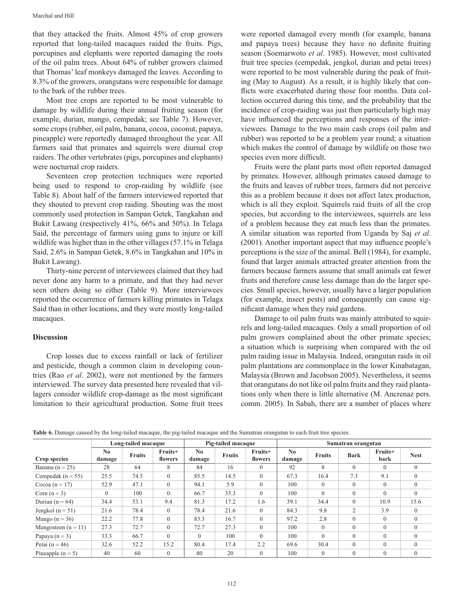that they attacked the fruits. Almost 45% of crop growers reported that long-tailed macaques raided the fruits. Pigs, porcupines and elephants were reported damaging the roots of the oil palm trees. About 64% of rubber growers claimed that Thomas' leaf monkeys damaged the leaves. According to 8.3% of the growers, orangutans were responsible for damage to the bark of the rubber trees.

Most tree crops are reported to be most vulnerable to damage by wildlife during their annual fruiting season (for example, durian, mango, cempedak; see Table 7). However, some crops (rubber, oil palm, banana, cocoa, coconut, papaya, pineapple) were reportedly damaged throughout the year. All farmers said that primates and squirrels were diurnal crop raiders. The other vertebrates (pigs, porcupines and elephants) were nocturnal crop raiders.

Seventeen crop protection techniques were reported being used to respond to crop-raiding by wildlife (see Table 8). About half of the farmers interviewed reported that they shouted to prevent crop raiding. Shouting was the most commonly used protection in Sampan Getek, Tangkahan and Bukit Lawang (respectively 41%, 66% and 50%). In Telaga Said, the percentage of farmers using guns to injure or kill wildlife was higher than in the other villages (57.1% in Telaga Said, 2.6% in Sampan Getek, 8.6% in Tangkahan and 10% in Bukit Lawang).

Thirty-nine percent of interviewees claimed that they had never done any harm to a primate, and that they had never seen others doing so either (Table 9). More interviewees reported the occurrence of farmers killing primates in Telaga Said than in other locations, and they were mostly long-tailed macaques.

## **Discussion**

Crop losses due to excess rainfall or lack of fertilizer and pesticide, though a common claim in developing countries (Rao et al. 2002), were not mentioned by the farmers interviewed. The survey data presented here revealed that villagers consider wildlife crop-damage as the most significant limitation to their agricultural production. Some fruit trees were reported damaged every month (for example, banana and papaya trees) because they have no definite fruiting season (Soemarwoto et al. 1985). However, most cultivated fruit tree species (cempedak, jengkol, durian and petai trees) were reported to be most vulnerable during the peak of fruiting (May to August). As a result, it is highly likely that conflicts were exacerbated during those four months. Data collection occurred during this time, and the probability that the incidence of crop-raiding was just then particularly high may have influenced the perceptions and responses of the interviewees. Damage to the two main cash crops (oil palm and rubber) was reported to be a problem year round; a situation which makes the control of damage by wildlife on those two species even more difficult.

Fruits were the plant parts most often reported damaged by primates. However, although primates caused damage to the fruits and leaves of rubber trees, farmers did not perceive this as a problem because it does not affect latex production, which is all they exploit. Squirrels raid fruits of all the crop species, but according to the interviewees, squirrels are less of a problem because they eat much less than the primates. A similar situation was reported from Uganda by Saj et al. (2001). Another important aspect that may influence people's perceptions is the size of the animal. Bell (1984), for example, found that larger animals attracted greater attention from the farmers because farmers assume that small animals eat fewer fruits and therefore cause less damage than do the larger species. Small species, however, usually have a larger population (for example, insect pests) and consequently can cause significant damage when they raid gardens.

Damage to oil palm fruits was mainly attributed to squirrels and long-tailed macaques. Only a small proportion of oil palm growers complained about the other primate species; a situation which is surprising when compared with the oil palm raiding issue in Malaysia. Indeed, orangutan raids in oil palm plantations are commonplace in the lower Kinabatagan, Malaysia (Brown and Jacobson 2005). Nevertheless, it seems that orangutans do not like oil palm fruits and they raid plantations only when there is little alternative (M. Ancrenaz pers. comm. 2005). In Sabah, there are a number of places where

|                       | Long-tailed macaque      |               |                    | Pig-tailed macaque       |               |                    | Sumatran orangutan       |               |              |                 |                |
|-----------------------|--------------------------|---------------|--------------------|--------------------------|---------------|--------------------|--------------------------|---------------|--------------|-----------------|----------------|
| Crop species          | N <sub>0</sub><br>damage | <b>Fruits</b> | Fruits+<br>flowers | N <sub>0</sub><br>damage | <b>Fruits</b> | Fruits+<br>flowers | N <sub>0</sub><br>damage | <b>Fruits</b> | <b>Bark</b>  | Fruits+<br>bark | <b>Nest</b>    |
| Banana ( $n = 25$ )   | 28                       | 64            | 8                  | 84                       | 16            | $\Omega$           | 92                       | 8             | $\theta$     | $\theta$        | $\theta$       |
| Cempedak ( $n = 55$ ) | 25.5                     | 74.5          | $\theta$           | 85.5                     | 14.5          | $\Omega$           | 67.3                     | 16.4          | 7.3          | 9.1             | $\Omega$       |
| Cocoa (n = 17)        | 52.9                     | 47.1          | $\theta$           | 94.1                     | 5.9           | $\Omega$           | 100                      | $\mathbf{0}$  | $\mathbf{0}$ | $\mathbf{0}$    | $\mathbf{0}$   |
| Corn $(n = 3)$        | $\Omega$                 | 100           | $\theta$           | 66.7                     | 33.3          | $\Omega$           | 100                      | $\theta$      | $\theta$     | $\theta$        | $\Omega$       |
| Durian $(n = 64)$     | 34.4                     | 53.1          | 9.4                | 81.3                     | 17.2          | 1.6                | 39.1                     | 34.4          | $\theta$     | 10.9            | 15.6           |
| Jengkol ( $n = 51$ )  | 21.6                     | 78.4          | $\theta$           | 78.4                     | 21.6          | $\Omega$           | 84.3                     | 9.8           | 2            | 3.9             | $\theta$       |
| Mango $(n = 36)$      | 22.2                     | 77.8          | $\mathbf{0}$       | 83.3                     | 16.7          | $\Omega$           | 97.2                     | 2.8           | $\mathbf{0}$ | $\mathbf{0}$    | $\overline{0}$ |
| Mangosteen $(n = 11)$ | 27.3                     | 72.7          | $\theta$           | 72.7                     | 27.3          | $\Omega$           | 100                      | $\theta$      | $\theta$     | $\theta$        | $\Omega$       |
| Papaya $(n = 3)$      | 33.3                     | 66.7          | $\Omega$           | $\Omega$                 | 100           | $\Omega$           | 100                      | $\Omega$      | $\theta$     | $\theta$        | $\Omega$       |
| Petai $(n = 46)$      | 32.6                     | 52.2          | 15.2               | 80.4                     | 17.4          | 2.2                | 69.6                     | 30.4          | $\theta$     | $\theta$        | $\Omega$       |
| Pineapple $(n = 5)$   | 40                       | 60            | $\theta$           | 80                       | 20            | 0                  | 100                      | $\theta$      | $\theta$     | $\theta$        | $\Omega$       |

Table 6. Damage caused by the long-tailed macaque, the pig-tailed macaque and the Sumatran orangutan to each fruit tree species.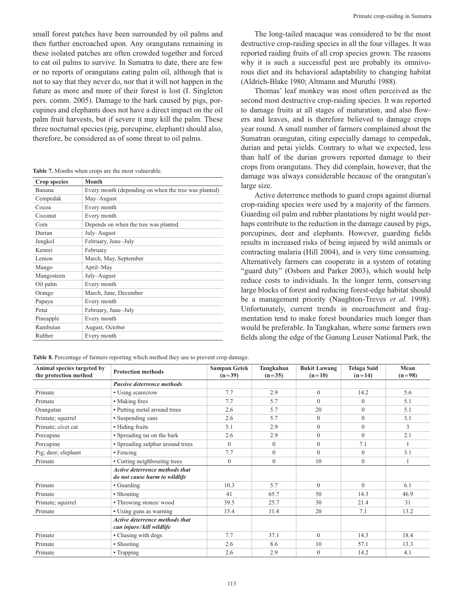small forest patches have been surrounded by oil palms and then further encroached upon. Any orangutans remaining in these isolated patches are often crowded together and forced to eat oil palms to survive. In Sumatra to date, there are few or no reports of orangutans eating palm oil, although that is not to say that they never do, nor that it will not happen in the future as more and more of their forest is lost (I. Singleton pers. comm. 2005). Damage to the bark caused by pigs, porcupines and elephants does not have a direct impact on the oil palm fruit harvests, but if severe it may kill the palm. These three nocturnal species (pig, porcupine, elephant) should also, therefore, be considered as of some threat to oil palms.

Table 7. Months when crops are the most vulnerable.

Animal species targeted by

Primate; squirrel

Primate

Primate

Primate

Primate

| <b>Crop species</b> | Month                                                |
|---------------------|------------------------------------------------------|
| Banana              | Every month (depending on when the tree was planted) |
| Cempedak            | May-August                                           |
| Cocoa               | Every month                                          |
| Coconut             | Every month                                          |
| Corn                | Depends on when the tree was planted                 |
| Durian              | July–August                                          |
| Jengkol             | February, June-July                                  |
| Kemiri              | February                                             |
| Lemon               | March, May, September                                |
| Mango               | April-May                                            |
| Mangosteen          | July–August                                          |
| Oil palm            | Every month                                          |
| Orange              | March, June, December                                |
| Papaya              | Every month                                          |
| Petai               | February, June-July                                  |
| Pineapple           | Every month                                          |
| Rambutan            | August, October                                      |
| Rubber              | Every month                                          |

The long-tailed macaque was considered to be the most destructive crop-raiding species in all the four villages. It was reported raiding fruits of all crop species grown. The reasons why it is such a successful pest are probably its omnivorous diet and its behavioral adaptability to changing habitat (Aldrich-Blake 1980; Altmann and Muruthi 1988).

Thomas' leaf monkey was most often perceived as the second most destructive crop-raiding species. It was reported to damage fruits at all stages of maturation, and also flowers and leaves, and is therefore believed to damage crops year round. A small number of farmers complained about the Sumatran orangutan, citing especially damage to cempedak, durian and petai yields. Contrary to what we expected, less than half of the durian growers reported damage to their crops from orangutans. They did complain, however, that the damage was always considerable because of the orangutan's large size.

Active deterrence methods to guard crops against diurnal crop-raiding species were used by a majority of the farmers. Guarding oil palm and rubber plantations by night would perhaps contribute to the reduction in the damage caused by pigs, porcupines, deer and elephants. However, guarding fields results in increased risks of being injured by wild animals or contracting malaria (Hill 2004), and is very time consuming. Alternatively farmers can cooperate in a system of rotating "guard duty" (Osborn and Parker 2003), which would help reduce costs to individuals. In the longer term, conserving large blocks of forest and reducing forest-edge habitat should be a management priority (Naughton-Treves et al. 1998). Unfortunately, current trends in encroachment and fragmentation tend to make forest boundaries much longer than would be preferable. In Tangkahan, where some farmers own fields along the edge of the Gunung Leuser National Park, the

**Bukit Lawang** 

30

 $20$ 

 $\boldsymbol{0}$ 

10

 $\mathbf{0}$ 

**Telaga Said** 

21.4

 $7.1$ 

14.3

57 1

14.2

Mean

 $(n=98)$ 

5.6  $5.1$  $5.1$  $3.1$  $\overline{\mathcal{E}}$  $2.1$  $\mathbf{1}$  $3<sub>1</sub>$  $\mathbf{1}$ 

6.1 46.9

 $31$ 

13.2

18.4

 $133$ 

 $41$ 

|                                  |                     | $(n=35)$ | $(n=10)$ | $(n=14)$ |  |
|----------------------------------|---------------------|----------|----------|----------|--|
| Passive deterrence methods       |                     |          |          |          |  |
| • Using scarecrow                | 7.7                 | 2.9      | $\theta$ | 14.2     |  |
| • Making fires                   | 7.7                 | 5.7      | $\Omega$ | $\Omega$ |  |
| • Putting metal around trees     | 2.6                 | 5.7      | 20       | $\Omega$ |  |
| • Suspending cans                | 2.6                 | 5.7      | $\theta$ | $\theta$ |  |
| • Hiding fruits                  | 5.1                 | 2.9      | $\theta$ | $\Omega$ |  |
| • Spreading tar on the bark      | 2.6                 | 2.9      | $\theta$ | $\theta$ |  |
| • Spreading sulphur around trees | $\Omega$            | $\Omega$ | $\theta$ | 7.1      |  |
| $\blacksquare$ Fencing           | 7.7                 | $\Omega$ | $\Omega$ | $\Omega$ |  |
| • Cutting neighbouring trees     | $\mathbf{0}$        | 0        | 10       | $\Omega$ |  |
| Active deterrence methods that   |                     |          |          |          |  |
| do not cause harm to wildlife    |                     |          |          |          |  |
| • Guarding                       | 10.3                | 5.7      | $\theta$ | $\theta$ |  |
| • Shouting                       | 41                  | 65.7     | 50       | 14.3     |  |
|                                  | т готествон препомз | $(n=39)$ |          |          |  |

**Sampan Getek** 

Tangkahan

25.7

11.4

37.1

8.6

2.9

Table 8. Percentage of farmers reporting which method they use to prevent crop damage.

· Throwing stones/wood

• Using guns as warning

• Chasing with dogs

• Shooting

• Trapping

Active deterrence methods that can injure/kill wildlife

**Protection methods** 

39.5

15.4

7.7

 $2.6$ 

2.6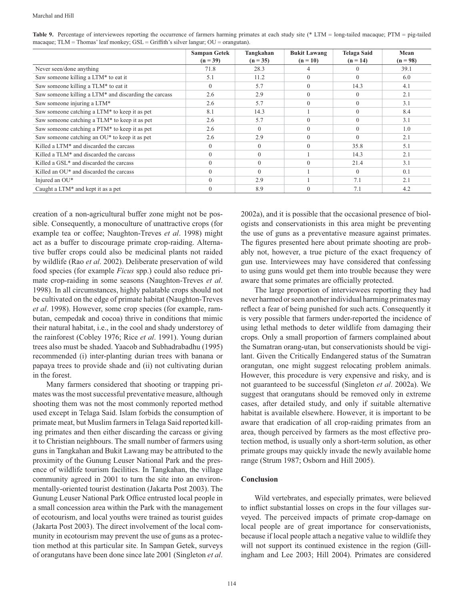|                                                           | <b>Sampan Getek</b> | Tangkahan  | <b>Bukit Lawang</b> | <b>Telaga Said</b> | Mean       |
|-----------------------------------------------------------|---------------------|------------|---------------------|--------------------|------------|
|                                                           | $(n = 39)$          | $(n = 35)$ | $(n = 10)$          | $(n = 14)$         | $(n = 98)$ |
| Never seen/done anything                                  | 71.8                | 28.3       |                     |                    | 39.1       |
| Saw someone killing a LTM* to eat it                      | 5.1                 | 11.2       | $\Omega$            | $\Omega$           | 6.0        |
| Saw someone killing a TLM* to eat it                      | $\Omega$            | 5.7        | $\Omega$            | 14.3               | 4.1        |
| Saw someone killing a LTM* and discarding the carcass     | 2.6                 | 2.9        | $\theta$            |                    | 2.1        |
| Saw someone injuring a LTM*                               | 2.6                 | 5.7        | $\Omega$            | $\Omega$           | 3.1        |
| Saw someone catching a LTM* to keep it as pet             | 8.1                 | 14.3       |                     | $\Omega$           | 8.4        |
| Saw someone catching a TLM* to keep it as pet             | 2.6                 | 5.7        | $\Omega$            | $\Omega$           | 3.1        |
| Saw someone catching a PTM* to keep it as pet             | 2.6                 | $\Omega$   | $\theta$            |                    | 1.0        |
| Saw someone catching an OU <sup>*</sup> to keep it as pet | 2.6                 | 2.9        | $\theta$            | $\Omega$           | 2.1        |
| Killed a LTM <sup>*</sup> and discarded the carcass       | $\Omega$            | $\Omega$   | $\Omega$            | 35.8               | 5.1        |
| Killed a TLM* and discarded the carcass                   |                     | $\theta$   |                     | 14.3               | 2.1        |
| Killed a GSL <sup>*</sup> and discarded the carcass       | $\Omega$            | $\theta$   | $\theta$            | 21.4               | 3.1        |
| Killed an OU <sup>*</sup> and discarded the carcass       | $\Omega$            | $\Omega$   |                     | $\Omega$           | 0.1        |
| Injured an OU*                                            | $\Omega$            | 2.9        |                     | 7.1                | 2.1        |
| Caught a $LTM^*$ and kept it as a pet                     |                     | 8.9        | $\Omega$            | 7.1                | 4.2        |

Table 9. Percentage of interviewees reporting the occurrence of farmers harming primates at each study site (\* LTM = long-tailed macaque; PTM = pig-tailed macaque; TLM = Thomas' leaf monkey; GSL = Griffith's silver langur; OU = orangutan).

creation of a non-agricultural buffer zone might not be possible. Consequently, a monoculture of unattractive crops (for example tea or coffee; Naughton-Treves et al. 1998) might act as a buffer to discourage primate crop-raiding. Alternative buffer crops could also be medicinal plants not raided by wildlife (Rao et al. 2002). Deliberate preservation of wild food species (for example Ficus spp.) could also reduce primate crop-raiding in some seasons (Naughton-Treves et al. 1998). In all circumstances, highly palatable crops should not be cultivated on the edge of primate habitat (Naughton-Treves et al. 1998). However, some crop species (for example, rambutan, cempedak and cocoa) thrive in conditions that mimic their natural habitat, i.e., in the cool and shady understorey of the rainforest (Cobley 1976; Rice et al. 1991). Young durian trees also must be shaded. Yaacob and Subhadrabadhu (1995) recommended (i) inter-planting durian trees with banana or papaya trees to provide shade and (ii) not cultivating durian in the forest.

Many farmers considered that shooting or trapping primates was the most successful preventative measure, although shooting them was not the most commonly reported method used except in Telaga Said. Islam forbids the consumption of primate meat, but Muslim farmers in Telaga Said reported killing primates and then either discarding the carcass or giving it to Christian neighbours. The small number of farmers using guns in Tangkahan and Bukit Lawang may be attributed to the proximity of the Gunung Leuser National Park and the presence of wildlife tourism facilities. In Tangkahan, the village community agreed in 2001 to turn the site into an environmentally-oriented tourist destination (Jakarta Post 2003). The Gunung Leuser National Park Office entrusted local people in a small concession area within the Park with the management of ecotourism, and local youths were trained as tourist guides (Jakarta Post 2003). The direct involvement of the local community in ecotourism may prevent the use of guns as a protection method at this particular site. In Sampan Getek, surveys of orangutans have been done since late 2001 (Singleton et al.

2002a), and it is possible that the occasional presence of biologists and conservationists in this area might be preventing the use of guns as a preventative measure against primates. The figures presented here about primate shooting are probably not, however, a true picture of the exact frequency of gun use. Interviewees may have considered that confessing to using guns would get them into trouble because they were aware that some primates are officially protected.

The large proportion of interviewees reporting they had never harmed or seen another individual harming primates may reflect a fear of being punished for such acts. Consequently it is very possible that farmers under-reported the incidence of using lethal methods to deter wildlife from damaging their crops. Only a small proportion of farmers complained about the Sumatran orang-utan, but conservationists should be vigilant. Given the Critically Endangered status of the Sumatran orangutan, one might suggest relocating problem animals. However, this procedure is very expensive and risky, and is not guaranteed to be successful (Singleton et al. 2002a). We suggest that orangutans should be removed only in extreme cases, after detailed study, and only if suitable alternative habitat is available elsewhere. However, it is important to be aware that eradication of all crop-raiding primates from an area, though perceived by farmers as the most effective protection method, is usually only a short-term solution, as other primate groups may quickly invade the newly available home range (Strum 1987; Osborn and Hill 2005).

#### **Conclusion**

Wild vertebrates, and especially primates, were believed to inflict substantial losses on crops in the four villages surveyed. The perceived impacts of primate crop-damage on local people are of great importance for conservationists, because if local people attach a negative value to wildlife they will not support its continued existence in the region (Gillingham and Lee 2003; Hill 2004). Primates are considered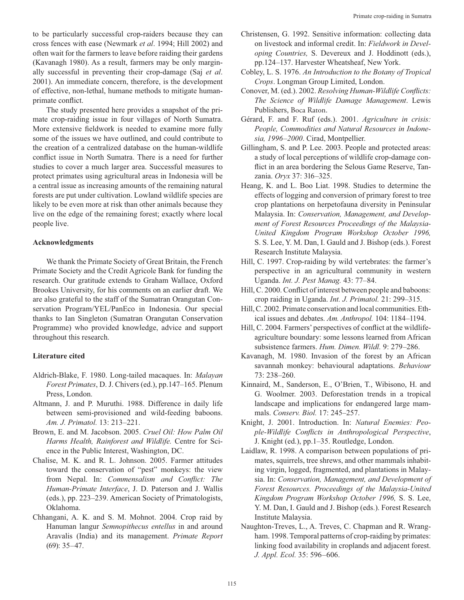to be particularly successful crop-raiders because they can cross fences with ease (Newmark et al. 1994; Hill 2002) and often wait for the farmers to leave before raiding their gardens (Kavanagh 1980). As a result, farmers may be only marginally successful in preventing their crop-damage (Saj et al. 2001). An immediate concern, therefore, is the development of effective, non-lethal, humane methods to mitigate humanprimate conflict.

The study presented here provides a snapshot of the primate crop-raiding issue in four villages of North Sumatra. More extensive fieldwork is needed to examine more fully some of the issues we have outlined, and could contribute to the creation of a centralized database on the human-wildlife conflict issue in North Sumatra. There is a need for further studies to cover a much larger area. Successful measures to protect primates using agricultural areas in Indonesia will be a central issue as increasing amounts of the remaining natural forests are put under cultivation. Lowland wildlife species are likely to be even more at risk than other animals because they live on the edge of the remaining forest; exactly where local people live.

### **Acknowledgments**

We thank the Primate Society of Great Britain, the French Primate Society and the Credit Agricole Bank for funding the research. Our gratitude extends to Graham Wallace, Oxford Brookes University, for his comments on an earlier draft. We are also grateful to the staff of the Sumatran Orangutan Conservation Program/YEL/PanEco in Indonesia. Our special thanks to Ian Singleton (Sumatran Orangutan Conservation Programme) who provided knowledge, advice and support throughout this research.

# **Literature cited**

- Aldrich-Blake, F. 1980. Long-tailed macaques. In: Malayan Forest Primates, D. J. Chivers (ed.), pp.147–165. Plenum Press, London.
- Altmann, J. and P. Muruthi. 1988. Difference in daily life between semi-provisioned and wild-feeding baboons. Am. J. Primatol. 13: 213-221.
- Brown, E. and M. Jacobson. 2005. Cruel Oil: How Palm Oil Harms Health, Rainforest and Wildlife. Centre for Science in the Public Interest, Washington, DC.
- Chalise, M. K. and R. L. Johnson. 2005. Farmer attitudes toward the conservation of "pest" monkeys: the view from Nepal. In: Commensalism and Conflict: The Human-Primate Interface, J. D. Paterson and J. Wallis (eds.), pp. 223–239. American Society of Primatologists, Oklahoma.
- Chhangani, A. K. and S. M. Mohnot. 2004. Crop raid by Hanuman langur Semnopithecus entellus in and around Aravalis (India) and its management. Primate Report  $(69): 35 - 47.$
- Christensen, G. 1992. Sensitive information: collecting data on livestock and informal credit. In: Fieldwork in Developing Countries, S. Devereux and J. Hoddinott (eds.), pp.124-137. Harvester Wheatsheaf, New York.
- Cobley, L. S. 1976. An Introduction to the Botany of Tropical Crops. Longman Group Limited, London.
- Conover, M. (ed.). 2002. Resolving Human-Wildlife Conflicts: The Science of Wildlife Damage Management. Lewis Publishers, Boca Raton.
- Gérard, F. and F. Ruf (eds.). 2001. Agriculture in crisis: People, Commodities and Natural Resources in Indonesia, 1996-2000. Cirad, Montpellier.
- Gillingham, S. and P. Lee. 2003. People and protected areas: a study of local perceptions of wildlife crop-damage conflict in an area bordering the Selous Game Reserve, Tanzania. Oryx 37: 316-325.
- Heang, K. and L. Boo Liat. 1998. Studies to determine the effects of logging and conversion of primary forest to tree crop plantations on herpetofauna diversity in Peninsular Malaysia. In: Conservation, Management, and Development of Forest Resources Proceedings of the Malaysia-United Kingdom Program Workshop October 1996, S. S. Lee, Y. M. Dan, I. Gauld and J. Bishop (eds.). Forest Research Institute Malaysia.
- Hill, C. 1997. Crop-raiding by wild vertebrates: the farmer's perspective in an agricultural community in western Uganda. Int. J. Pest Manag. 43: 77-84.
- Hill, C. 2000. Conflict of interest between people and baboons: crop raiding in Uganda. Int. J. Primatol. 21: 299-315.
- Hill, C. 2002. Primate conservation and local communities. Ethical issues and debates. Am. Anthropol. 104: 1184–1194.
- Hill, C. 2004. Farmers' perspectives of conflict at the wildlifeagriculture boundary: some lessons learned from African subsistence farmers. Hum. Dimen. Wildl. 9: 279-286.
- Kavanagh, M. 1980. Invasion of the forest by an African savannah monkey: behavioural adaptations. Behaviour 73: 238-260.
- Kinnaird, M., Sanderson, E., O'Brien, T., Wibisono, H. and G. Woolmer. 2003. Deforestation trends in a tropical landscape and implications for endangered large mammals. Conserv. Biol. 17: 245-257.
- Knight, J. 2001. Introduction. In: Natural Enemies: People-Wildlife Conflicts in Anthropological Perspective, J. Knight (ed.), pp.1-35. Routledge, London.
- Laidlaw, R. 1998. A comparison between populations of primates, squirrels, tree shrews, and other mammals inhabiting virgin, logged, fragmented, and plantations in Malaysia. In: Conservation, Management, and Development of Forest Resources. Proceedings of the Malaysia-United Kingdom Program Workshop October 1996, S. S. Lee, Y. M. Dan, I. Gauld and J. Bishop (eds.). Forest Research Institute Malaysia.
- Naughton-Treves, L., A. Treves, C. Chapman and R. Wrangham. 1998. Temporal patterns of crop-raiding by primates: linking food availability in croplands and adjacent forest. J. Appl. Ecol. 35: 596-606.